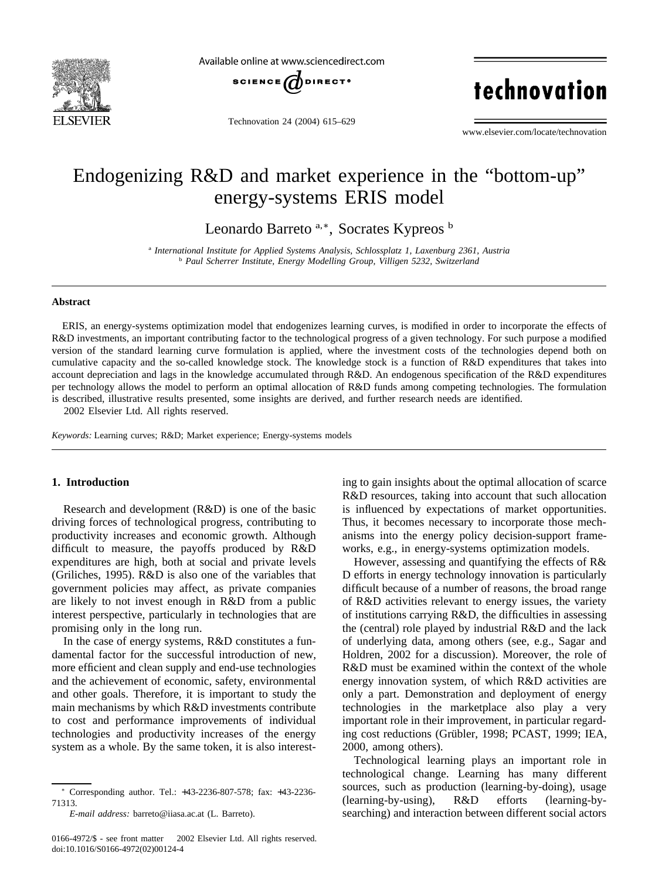

Available online at www.sciencedirect.com



technovation

Technovation 24 (2004) 615–629

www.elsevier.com/locate/technovation

## Endogenizing R&D and market experience in the "bottom-up" energy-systems ERIS model

Leonardo Barreto a,\*, Socrates Kypreos b

<sup>a</sup> *International Institute for Applied Systems Analysis, Schlossplatz 1, Laxenburg 2361, Austria* <sup>b</sup> *Paul Scherrer Institute, Energy Modelling Group, Villigen 5232, Switzerland*

## **Abstract**

ERIS, an energy-systems optimization model that endogenizes learning curves, is modified in order to incorporate the effects of R&D investments, an important contributing factor to the technological progress of a given technology. For such purpose a modified version of the standard learning curve formulation is applied, where the investment costs of the technologies depend both on cumulative capacity and the so-called knowledge stock. The knowledge stock is a function of R&D expenditures that takes into account depreciation and lags in the knowledge accumulated through R&D. An endogenous specification of the R&D expenditures per technology allows the model to perform an optimal allocation of R&D funds among competing technologies. The formulation is described, illustrative results presented, some insights are derived, and further research needs are identified. 2002 Elsevier Ltd. All rights reserved.

*Keywords:* Learning curves; R&D; Market experience; Energy-systems models

## **1. Introduction**

Research and development (R&D) is one of the basic driving forces of technological progress, contributing to productivity increases and economic growth. Although difficult to measure, the payoffs produced by R&D expenditures are high, both at social and private levels (Griliches, 1995). R&D is also one of the variables that government policies may affect, as private companies are likely to not invest enough in R&D from a public interest perspective, particularly in technologies that are promising only in the long run.

In the case of energy systems, R&D constitutes a fundamental factor for the successful introduction of new, more efficient and clean supply and end-use technologies and the achievement of economic, safety, environmental and other goals. Therefore, it is important to study the main mechanisms by which R&D investments contribute to cost and performance improvements of individual technologies and productivity increases of the energy system as a whole. By the same token, it is also interesting to gain insights about the optimal allocation of scarce R&D resources, taking into account that such allocation is influenced by expectations of market opportunities. Thus, it becomes necessary to incorporate those mechanisms into the energy policy decision-support frameworks, e.g., in energy-systems optimization models.

However, assessing and quantifying the effects of R& D efforts in energy technology innovation is particularly difficult because of a number of reasons, the broad range of R&D activities relevant to energy issues, the variety of institutions carrying R&D, the difficulties in assessing the (central) role played by industrial R&D and the lack of underlying data, among others (see, e.g., Sagar and Holdren, 2002 for a discussion). Moreover, the role of R&D must be examined within the context of the whole energy innovation system, of which R&D activities are only a part. Demonstration and deployment of energy technologies in the marketplace also play a very important role in their improvement, in particular regarding cost reductions (Grübler, 1998; PCAST, 1999; IEA, 2000, among others).

Technological learning plays an important role in technological change. Learning has many different sources, such as production (learning-by-doing), usage (learning-by-using), R&D efforts (learning-bysearching) and interaction between different social actors

<sup>∗</sup> Corresponding author. Tel.: +43-2236-807-578; fax: +43-2236- 71313.

*E-mail address:* barreto@iiasa.ac.at (L. Barreto).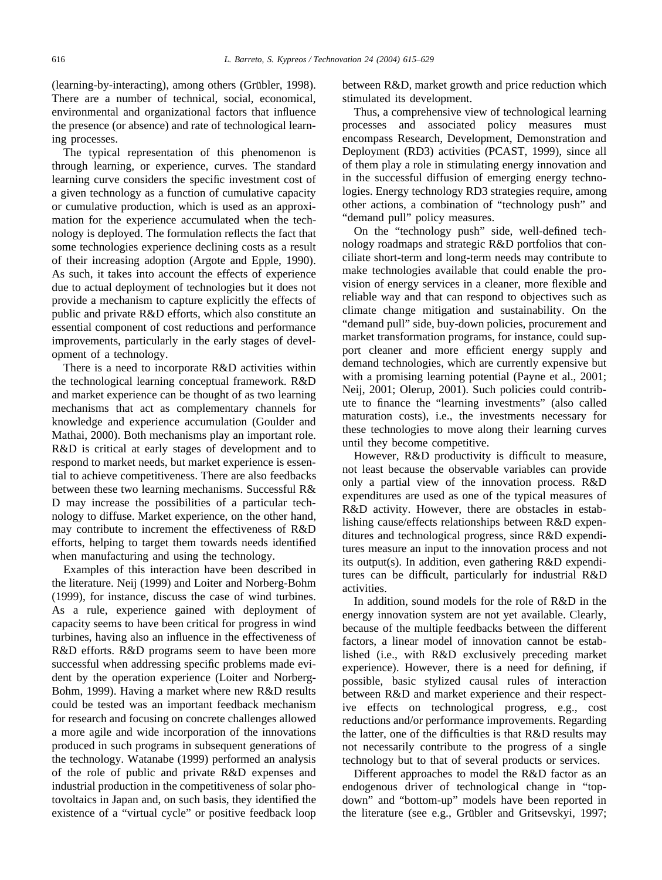(learning-by-interacting), among others (Grübler, 1998). There are a number of technical, social, economical, environmental and organizational factors that influence the presence (or absence) and rate of technological learning processes.

The typical representation of this phenomenon is through learning, or experience, curves. The standard learning curve considers the specific investment cost of a given technology as a function of cumulative capacity or cumulative production, which is used as an approximation for the experience accumulated when the technology is deployed. The formulation reflects the fact that some technologies experience declining costs as a result of their increasing adoption (Argote and Epple, 1990). As such, it takes into account the effects of experience due to actual deployment of technologies but it does not provide a mechanism to capture explicitly the effects of public and private R&D efforts, which also constitute an essential component of cost reductions and performance improvements, particularly in the early stages of development of a technology.

There is a need to incorporate R&D activities within the technological learning conceptual framework. R&D and market experience can be thought of as two learning mechanisms that act as complementary channels for knowledge and experience accumulation (Goulder and Mathai, 2000). Both mechanisms play an important role. R&D is critical at early stages of development and to respond to market needs, but market experience is essential to achieve competitiveness. There are also feedbacks between these two learning mechanisms. Successful R& D may increase the possibilities of a particular technology to diffuse. Market experience, on the other hand, may contribute to increment the effectiveness of R&D efforts, helping to target them towards needs identified when manufacturing and using the technology.

Examples of this interaction have been described in the literature. Neij (1999) and Loiter and Norberg-Bohm (1999), for instance, discuss the case of wind turbines. As a rule, experience gained with deployment of capacity seems to have been critical for progress in wind turbines, having also an influence in the effectiveness of R&D efforts. R&D programs seem to have been more successful when addressing specific problems made evident by the operation experience (Loiter and Norberg-Bohm, 1999). Having a market where new R&D results could be tested was an important feedback mechanism for research and focusing on concrete challenges allowed a more agile and wide incorporation of the innovations produced in such programs in subsequent generations of the technology. Watanabe (1999) performed an analysis of the role of public and private R&D expenses and industrial production in the competitiveness of solar photovoltaics in Japan and, on such basis, they identified the existence of a "virtual cycle" or positive feedback loop between R&D, market growth and price reduction which stimulated its development.

Thus, a comprehensive view of technological learning processes and associated policy measures must encompass Research, Development, Demonstration and Deployment (RD3) activities (PCAST, 1999), since all of them play a role in stimulating energy innovation and in the successful diffusion of emerging energy technologies. Energy technology RD3 strategies require, among other actions, a combination of "technology push" and "demand pull" policy measures.

On the "technology push" side, well-defined technology roadmaps and strategic R&D portfolios that conciliate short-term and long-term needs may contribute to make technologies available that could enable the provision of energy services in a cleaner, more flexible and reliable way and that can respond to objectives such as climate change mitigation and sustainability. On the "demand pull" side, buy-down policies, procurement and market transformation programs, for instance, could support cleaner and more efficient energy supply and demand technologies, which are currently expensive but with a promising learning potential (Payne et al., 2001; Neij, 2001; Olerup, 2001). Such policies could contribute to finance the "learning investments" (also called maturation costs), i.e., the investments necessary for these technologies to move along their learning curves until they become competitive.

However, R&D productivity is difficult to measure, not least because the observable variables can provide only a partial view of the innovation process. R&D expenditures are used as one of the typical measures of R&D activity. However, there are obstacles in establishing cause/effects relationships between R&D expenditures and technological progress, since R&D expenditures measure an input to the innovation process and not its output(s). In addition, even gathering R&D expenditures can be difficult, particularly for industrial R&D activities.

In addition, sound models for the role of R&D in the energy innovation system are not yet available. Clearly, because of the multiple feedbacks between the different factors, a linear model of innovation cannot be established (i.e., with R&D exclusively preceding market experience). However, there is a need for defining, if possible, basic stylized causal rules of interaction between R&D and market experience and their respective effects on technological progress, e.g., cost reductions and/or performance improvements. Regarding the latter, one of the difficulties is that R&D results may not necessarily contribute to the progress of a single technology but to that of several products or services.

Different approaches to model the R&D factor as an endogenous driver of technological change in "topdown" and "bottom-up" models have been reported in the literature (see e.g., Grübler and Gritsevskyi, 1997;